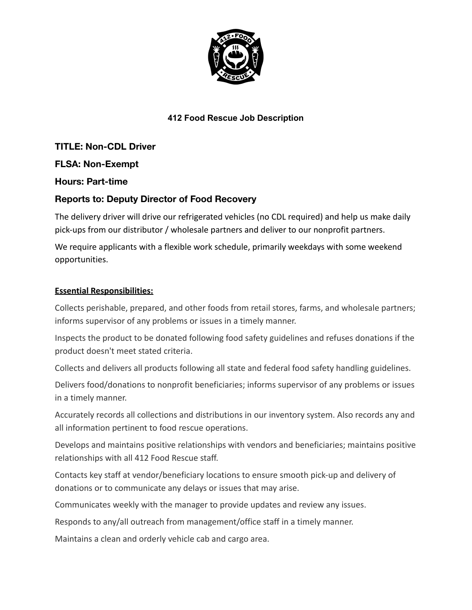

## **412 Food Rescue Job Description**

**TITLE: Non-CDL Driver FLSA: Non-Exempt**

**Hours: Part-time**

# **Reports to: Deputy Director of Food Recovery**

The delivery driver will drive our refrigerated vehicles (no CDL required) and help us make daily pick-ups from our distributor / wholesale partners and deliver to our nonprofit partners.

We require applicants with a flexible work schedule, primarily weekdays with some weekend opportunities.

### **Essential Responsibilities:**

Collects perishable, prepared, and other foods from retail stores, farms, and wholesale partners; informs supervisor of any problems or issues in a timely manner.

Inspects the product to be donated following food safety guidelines and refuses donations if the product doesn't meet stated criteria.

Collects and delivers all products following all state and federal food safety handling guidelines.

Delivers food/donations to nonprofit beneficiaries; informs supervisor of any problems or issues in a timely manner.

Accurately records all collections and distributions in our inventory system. Also records any and all information pertinent to food rescue operations.

Develops and maintains positive relationships with vendors and beneficiaries; maintains positive relationships with all 412 Food Rescue staff.

Contacts key staff at vendor/beneficiary locations to ensure smooth pick-up and delivery of donations or to communicate any delays or issues that may arise.

Communicates weekly with the manager to provide updates and review any issues.

Responds to any/all outreach from management/office staff in a timely manner.

Maintains a clean and orderly vehicle cab and cargo area.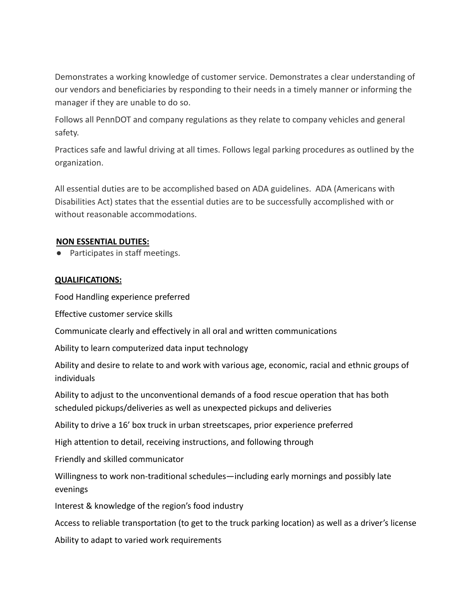Demonstrates a working knowledge of customer service. Demonstrates a clear understanding of our vendors and beneficiaries by responding to their needs in a timely manner or informing the manager if they are unable to do so.

Follows all PennDOT and company regulations as they relate to company vehicles and general safety.

Practices safe and lawful driving at all times. Follows legal parking procedures as outlined by the organization.

All essential duties are to be accomplished based on ADA guidelines. ADA (Americans with Disabilities Act) states that the essential duties are to be successfully accomplished with or without reasonable accommodations.

## **NON ESSENTIAL DUTIES:**

● Participates in staff meetings.

### **QUALIFICATIONS:**

Food Handling experience preferred

Effective customer service skills

Communicate clearly and effectively in all oral and written communications

Ability to learn computerized data input technology

Ability and desire to relate to and work with various age, economic, racial and ethnic groups of individuals

Ability to adjust to the unconventional demands of a food rescue operation that has both scheduled pickups/deliveries as well as unexpected pickups and deliveries

Ability to drive a 16' box truck in urban streetscapes, prior experience preferred

High attention to detail, receiving instructions, and following through

Friendly and skilled communicator

Willingness to work non-traditional schedules—including early mornings and possibly late evenings

Interest & knowledge of the region's food industry

Access to reliable transportation (to get to the truck parking location) as well as a driver's license

Ability to adapt to varied work requirements